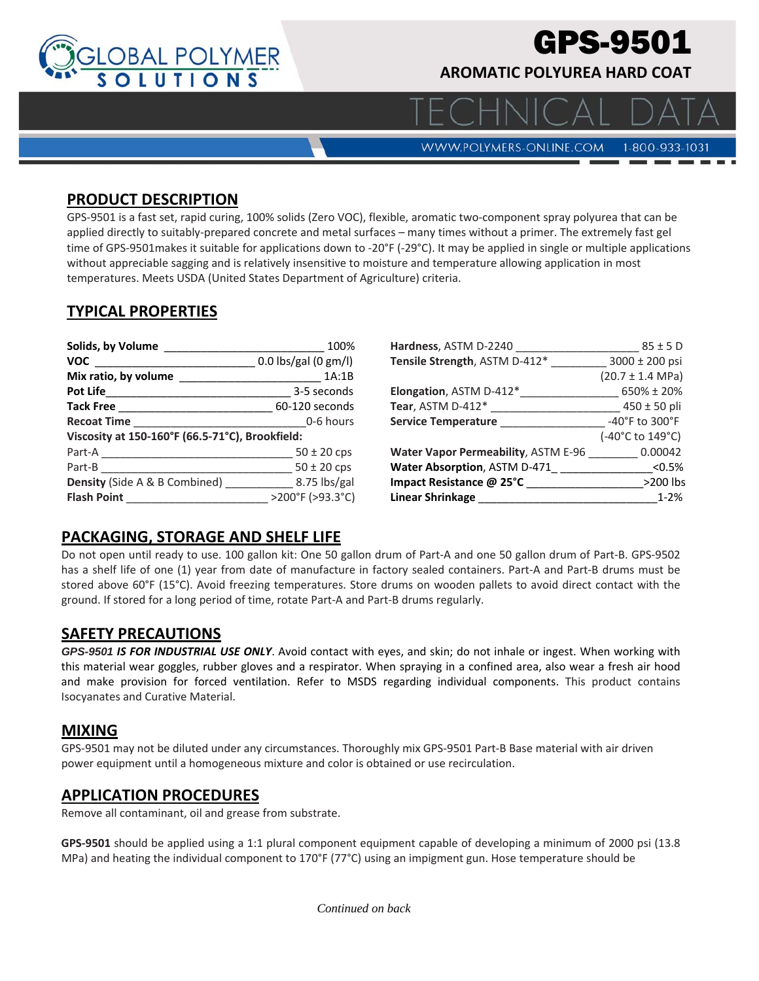

# **PS-9501**

**AROMATIC POLYUREA HARD COAT** 

**WWW.POLYMERS-ONLINE.COM** 

#### 1-800-933-1031

#### **PRODUCT DESCRIPTION**

GPS‐9501 is a fast set, rapid curing, 100% solids (Zero VOC), flexible, aromatic two‐component spray polyurea that can be applied directly to suitably‐prepared concrete and metal surfaces – many times without a primer. The extremely fast gel time of GPS‐9501makes it suitable for applications down to ‐20°F (‐29°C). It may be applied in single or multiple applications without appreciable sagging and is relatively insensitive to moisture and temperature allowing application in most temperatures. Meets USDA (United States Department of Agriculture) criteria.

## **TYPICAL PROPERTIES**

| Solids, by Volume                               | 100%                   | Hardness, ASTM D-2240                      | $85 \pm 5$ D                 |
|-------------------------------------------------|------------------------|--------------------------------------------|------------------------------|
| <b>VOC</b>                                      | $0.0$ lbs/gal (0 gm/l) | Tensile Strength, ASTM D-412*              | $3000 \pm 200$ psi           |
| Mix ratio, by volume                            | 1A:1B                  |                                            | $(20.7 \pm 1.4 \text{ MPa})$ |
| Pot Life <b>Section</b>                         | 3-5 seconds            | Elongation, ASTM D-412*                    | 650% ± 20%                   |
| <b>Tack Free</b>                                | 60-120 seconds         | Tear, ASTM $D-412^*$                       | $450 \pm 50$ pli             |
| <b>Recoat Time</b>                              | 0-6 hours              | <b>Service Temperature</b>                 | -40°F to 300°F               |
| Viscosity at 150-160°F (66.5-71°C), Brookfield: |                        |                                            | (-40°C to 149°C)             |
| Part-A                                          | $50 \pm 20$ cps        | <b>Water Vapor Permeability, ASTM E-96</b> | 0.00042                      |
| Part-B                                          | $50 \pm 20$ cps        | Water Absorption, ASTM D-471               | < 0.5%                       |
| <b>Density</b> (Side A & B Combined)            | 8.75 lbs/gal           | Impact Resistance @ 25°C                   | >200 lbs                     |
| <b>Flash Point</b>                              | >200°F (>93.3°C)       | Linear Shrinkage                           | $1 - 2%$                     |

### **PACKAGING, STORAGE AND SHELF LIFE**

Do not open until ready to use. 100 gallon kit: One 50 gallon drum of Part‐A and one 50 gallon drum of Part‐B. GPS‐9502 has a shelf life of one (1) year from date of manufacture in factory sealed containers. Part-A and Part-B drums must be stored above 60°F (15°C). Avoid freezing temperatures. Store drums on wooden pallets to avoid direct contact with the ground. If stored for a long period of time, rotate Part‐A and Part‐B drums regularly.

#### **SAFETY PRECAUTIONS**

*GPS-9501 IS FOR INDUSTRIAL USE ONLY*. Avoid contact with eyes, and skin; do not inhale or ingest. When working with this material wear goggles, rubber gloves and a respirator. When spraying in a confined area, also wear a fresh air hood and make provision for forced ventilation. Refer to MSDS regarding individual components. This product contains Isocyanates and Curative Material.

#### **MIXING**

GPS‐9501 may not be diluted under any circumstances. Thoroughly mix GPS‐9501 Part‐B Base material with air driven power equipment until a homogeneous mixture and color is obtained or use recirculation.

#### **APPLICATION PROCEDURES**

Remove all contaminant, oil and grease from substrate.

**GPS‐9501** should be applied using a 1:1 plural component equipment capable of developing a minimum of 2000 psi (13.8 MPa) and heating the individual component to 170°F (77°C) using an impigment gun. Hose temperature should be